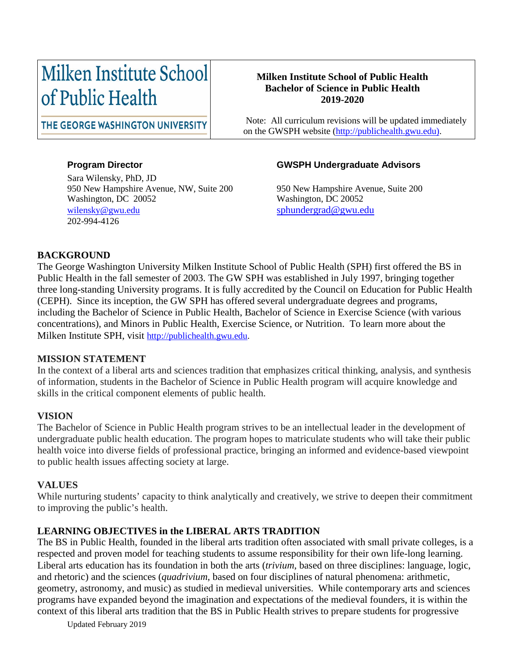# Milken Institute School of Public Health

#### **Milken Institute School of Public Health Bachelor of Science in Public Health 2019-2020**

THE GEORGE WASHINGTON UNIVERSITY

 Note: All curriculum revisions will be updated immediately on the GWSPH website [\(http://publichealth.gwu.edu\)](http://publichealth.gwu.edu/).

Sara Wilensky, PhD, JD 950 New Hampshire Avenue, NW, Suite 200 950 New Hampshire Avenue, Suite 200 Washington, DC 20052 Washington, DC 20052 [wilensky@gwu.edu](mailto:wilensky@gwu.edu) [sphundergrad@gwu.edu](mailto:sphundergrad@gwu.edu) 202-994-4126

#### **Program Director GWSPH Undergraduate Advisors**

#### **BACKGROUND**

The George Washington University Milken Institute School of Public Health (SPH) first offered the BS in Public Health in the fall semester of 2003. The GW SPH was established in July 1997, bringing together three long-standing University programs. It is fully accredited by the Council on Education for Public Health (CEPH). Since its inception, the GW SPH has offered several undergraduate degrees and programs, including the Bachelor of Science in Public Health, Bachelor of Science in Exercise Science (with various concentrations), and Minors in Public Health, Exercise Science, or Nutrition. To learn more about the Milken Institute SPH, visit [http://publichealth.gwu.edu.](http://publichealth.gwu.edu/)

#### **MISSION STATEMENT**

In the context of a liberal arts and sciences tradition that emphasizes critical thinking, analysis, and synthesis of information, students in the Bachelor of Science in Public Health program will acquire knowledge and skills in the critical component elements of public health.

#### **VISION**

The Bachelor of Science in Public Health program strives to be an intellectual leader in the development of undergraduate public health education. The program hopes to matriculate students who will take their public health voice into diverse fields of professional practice, bringing an informed and evidence-based viewpoint to public health issues affecting society at large.

#### **VALUES**

While nurturing students' capacity to think analytically and creatively, we strive to deepen their commitment to improving the public's health.

#### **LEARNING OBJECTIVES in the LIBERAL ARTS TRADITION**

The BS in Public Health, founded in the liberal arts tradition often associated with small private colleges, is a respected and proven model for teaching students to assume responsibility for their own life-long learning. Liberal arts education has its foundation in both the arts (*trivium*, based on three disciplines: language, logic, and rhetoric) and the sciences (*quadrivium*, based on four disciplines of natural phenomena: arithmetic, geometry, astronomy, and music) as studied in medieval universities. While contemporary arts and sciences programs have expanded beyond the imagination and expectations of the medieval founders, it is within the context of this liberal arts tradition that the BS in Public Health strives to prepare students for progressive

Updated February 2019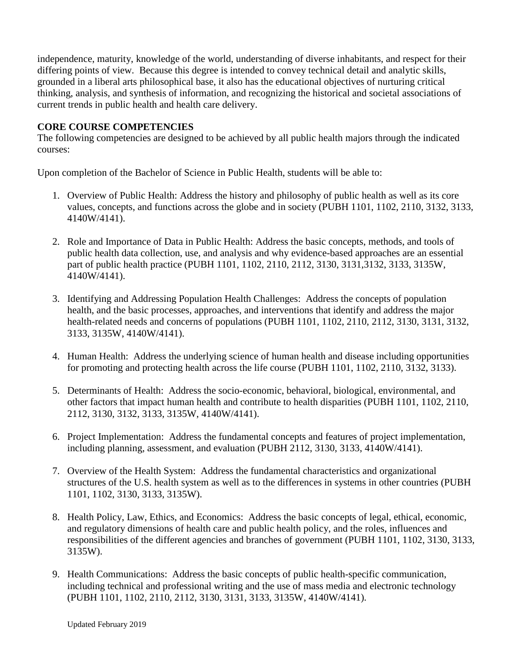independence, maturity, knowledge of the world, understanding of diverse inhabitants, and respect for their differing points of view. Because this degree is intended to convey technical detail and analytic skills, grounded in a liberal arts philosophical base, it also has the educational objectives of nurturing critical thinking, analysis, and synthesis of information, and recognizing the historical and societal associations of current trends in public health and health care delivery.

#### **CORE COURSE COMPETENCIES**

The following competencies are designed to be achieved by all public health majors through the indicated courses:

Upon completion of the Bachelor of Science in Public Health, students will be able to:

- 1. Overview of Public Health: Address the history and philosophy of public health as well as its core values, concepts, and functions across the globe and in society (PUBH 1101, 1102, 2110, 3132, 3133, 4140W/4141).
- 2. Role and Importance of Data in Public Health: Address the basic concepts, methods, and tools of public health data collection, use, and analysis and why evidence-based approaches are an essential part of public health practice (PUBH 1101, 1102, 2110, 2112, 3130, 3131,3132, 3133, 3135W, 4140W/4141).
- 3. Identifying and Addressing Population Health Challenges: Address the concepts of population health, and the basic processes, approaches, and interventions that identify and address the major health-related needs and concerns of populations (PUBH 1101, 1102, 2110, 2112, 3130, 3131, 3132, 3133, 3135W, 4140W/4141).
- 4. Human Health: Address the underlying science of human health and disease including opportunities for promoting and protecting health across the life course (PUBH 1101, 1102, 2110, 3132, 3133).
- 5. Determinants of Health: Address the socio-economic, behavioral, biological, environmental, and other factors that impact human health and contribute to health disparities (PUBH 1101, 1102, 2110, 2112, 3130, 3132, 3133, 3135W, 4140W/4141).
- 6. Project Implementation: Address the fundamental concepts and features of project implementation, including planning, assessment, and evaluation (PUBH 2112, 3130, 3133, 4140W/4141).
- 7. Overview of the Health System: Address the fundamental characteristics and organizational structures of the U.S. health system as well as to the differences in systems in other countries (PUBH 1101, 1102, 3130, 3133, 3135W).
- 8. Health Policy, Law, Ethics, and Economics: Address the basic concepts of legal, ethical, economic, and regulatory dimensions of health care and public health policy, and the roles, influences and responsibilities of the different agencies and branches of government (PUBH 1101, 1102, 3130, 3133, 3135W).
- 9. Health Communications: Address the basic concepts of public health-specific communication, including technical and professional writing and the use of mass media and electronic technology (PUBH 1101, 1102, 2110, 2112, 3130, 3131, 3133, 3135W, 4140W/4141).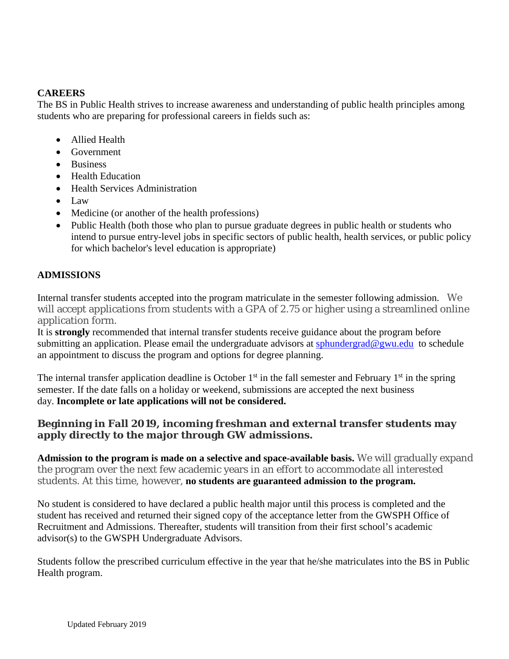#### **CAREERS**

The BS in Public Health strives to increase awareness and understanding of public health principles among students who are preparing for professional careers in fields such as:

- Allied Health
- Government
- Business
- Health Education
- Health Services Administration
- Law
- Medicine (or another of the health professions)
- Public Health (both those who plan to pursue graduate degrees in public health or students who intend to pursue entry-level jobs in specific sectors of public health, health services, or public policy for which bachelor's level education is appropriate)

#### **ADMISSIONS**

Internal transfer students accepted into the program matriculate in the semester following admission. We will accept applications from students with a GPA of 2.75 or higher using a streamlined online application form.

It is **strongly** recommended that internal transfer students receive guidance about the program before submitting an application. Please email the undergraduate advisors at [sphundergrad@gwu.edu](mailto:sphundergrad@gwu.edu) to schedule an appointment to discuss the program and options for degree planning.

The internal transfer application deadline is October  $1<sup>st</sup>$  in the fall semester and February  $1<sup>st</sup>$  in the spring semester. If the date falls on a holiday or weekend, submissions are accepted the next business day. **Incomplete or late applications will not be considered.**

#### **Beginning in Fall 2019, incoming freshman and external transfer students may apply directly to the major through GW admissions.**

**Admission to the program is made on a selective and space-available basis.** We will gradually expand the program over the next few academic years in an effort to accommodate all interested students. At this time, however, **no students are guaranteed admission to the program.**

No student is considered to have declared a public health major until this process is completed and the student has received and returned their signed copy of the acceptance letter from the GWSPH Office of Recruitment and Admissions. Thereafter, students will transition from their first school's academic advisor(s) to the GWSPH Undergraduate Advisors.

Students follow the prescribed curriculum effective in the year that he/she matriculates into the BS in Public Health program.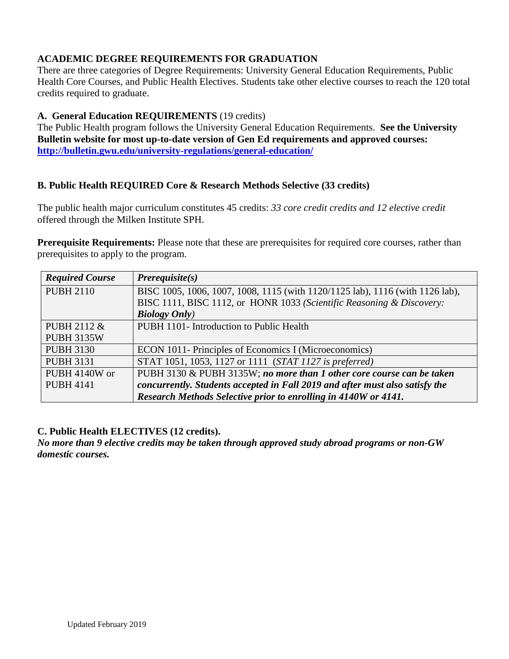#### **ACADEMIC DEGREE REQUIREMENTS FOR GRADUATION**

There are three categories of Degree Requirements: University General Education Requirements, Public Health Core Courses, and Public Health Electives. Students take other elective courses to reach the 120 total credits required to graduate.

#### **A. General Education REQUIREMENTS** (19 credits)

The Public Health program follows the University General Education Requirements. **See the University Bulletin website for most up-to-date version of Gen Ed requirements and approved courses: <http://bulletin.gwu.edu/university-regulations/general-education/>**

#### **B. Public Health REQUIRED Core & Research Methods Selective (33 credits)**

The public health major curriculum constitutes 45 credits: *33 core credit credits and 12 elective credit* offered through the Milken Institute SPH.

**Prerequisite Requirements:** Please note that these are prerequisites for required core courses, rather than prerequisites to apply to the program.

| <b>Required Course</b> | $Prerequisite(s)$                                                             |
|------------------------|-------------------------------------------------------------------------------|
| <b>PUBH 2110</b>       | BISC 1005, 1006, 1007, 1008, 1115 (with 1120/1125 lab), 1116 (with 1126 lab), |
|                        | BISC 1111, BISC 1112, or HONR 1033 (Scientific Reasoning & Discovery:         |
|                        | <b>Biology Only</b> )                                                         |
| PUBH 2112 &            | PUBH 1101- Introduction to Public Health                                      |
| <b>PUBH 3135W</b>      |                                                                               |
| <b>PUBH 3130</b>       | ECON 1011- Principles of Economics I (Microeconomics)                         |
| <b>PUBH 3131</b>       | STAT 1051, 1053, 1127 or 1111 (STAT 1127 is preferred)                        |
| PUBH 4140W or          | PUBH 3130 & PUBH 3135W; no more than 1 other core course can be taken         |
| <b>PUBH 4141</b>       | concurrently. Students accepted in Fall 2019 and after must also satisfy the  |
|                        | Research Methods Selective prior to enrolling in 4140W or 4141.               |

#### **C. Public Health ELECTIVES (12 credits).**

*No more than 9 elective credits may be taken through approved study abroad programs or non-GW domestic courses.*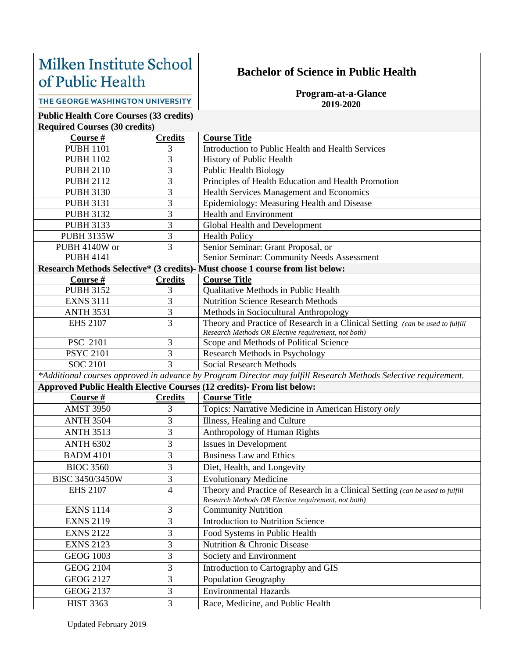# Milken Institute School of Public Health

## **Bachelor of Science in Public Health**

**Program-at-a-Glance 2019-2020**

THE GEORGE WASHINGTON UNIVERSITY

# **Public Health Core Courses (33 credits)**

| <b>Required Courses (30 credits)</b> |                |                                                                                                                 |  |  |  |  |
|--------------------------------------|----------------|-----------------------------------------------------------------------------------------------------------------|--|--|--|--|
| Course #                             | <b>Credits</b> | <b>Course Title</b>                                                                                             |  |  |  |  |
| <b>PUBH 1101</b>                     | 3              | Introduction to Public Health and Health Services                                                               |  |  |  |  |
| <b>PUBH 1102</b>                     | $\overline{3}$ | History of Public Health                                                                                        |  |  |  |  |
| <b>PUBH 2110</b>                     | 3              | <b>Public Health Biology</b>                                                                                    |  |  |  |  |
| <b>PUBH 2112</b>                     | 3              | Principles of Health Education and Health Promotion                                                             |  |  |  |  |
| <b>PUBH 3130</b>                     | 3              | Health Services Management and Economics                                                                        |  |  |  |  |
| <b>PUBH 3131</b>                     | 3              | Epidemiology: Measuring Health and Disease                                                                      |  |  |  |  |
| <b>PUBH 3132</b>                     | 3              | <b>Health and Environment</b>                                                                                   |  |  |  |  |
| <b>PUBH 3133</b>                     | $\overline{3}$ | Global Health and Development                                                                                   |  |  |  |  |
| <b>PUBH 3135W</b>                    | $\overline{3}$ | <b>Health Policy</b>                                                                                            |  |  |  |  |
| PUBH 4140W or                        | 3              | Senior Seminar: Grant Proposal, or                                                                              |  |  |  |  |
| <b>PUBH 4141</b>                     |                | Senior Seminar: Community Needs Assessment                                                                      |  |  |  |  |
|                                      |                | Research Methods Selective* (3 credits)- Must choose 1 course from list below:                                  |  |  |  |  |
| Course #                             | <b>Credits</b> | <b>Course Title</b>                                                                                             |  |  |  |  |
| <b>PUBH 3152</b>                     | 3              | Qualitative Methods in Public Health                                                                            |  |  |  |  |
| <b>EXNS 3111</b>                     | $\overline{3}$ | <b>Nutrition Science Research Methods</b>                                                                       |  |  |  |  |
| <b>ANTH 3531</b>                     | $\overline{3}$ | Methods in Sociocultural Anthropology                                                                           |  |  |  |  |
| <b>EHS 2107</b>                      | 3              | Theory and Practice of Research in a Clinical Setting (can be used to fulfill                                   |  |  |  |  |
|                                      |                | Research Methods OR Elective requirement, not both)                                                             |  |  |  |  |
| PSC 2101                             | 3              | Scope and Methods of Political Science                                                                          |  |  |  |  |
| <b>PSYC 2101</b>                     | 3              | Research Methods in Psychology                                                                                  |  |  |  |  |
| <b>SOC 2101</b>                      | $\overline{3}$ | <b>Social Research Methods</b>                                                                                  |  |  |  |  |
|                                      |                | *Additional courses approved in advance by Program Director may fulfill Research Methods Selective requirement. |  |  |  |  |
|                                      |                | Approved Public Health Elective Courses (12 credits)- From list below:                                          |  |  |  |  |
| Course #                             | <b>Credits</b> | <b>Course Title</b>                                                                                             |  |  |  |  |
| <b>AMST 3950</b>                     | 3              | Topics: Narrative Medicine in American History only                                                             |  |  |  |  |
| <b>ANTH 3504</b>                     | 3              | Illness, Healing and Culture                                                                                    |  |  |  |  |
| <b>ANTH 3513</b>                     | 3              | Anthropology of Human Rights                                                                                    |  |  |  |  |
| <b>ANTH 6302</b>                     | 3              | <b>Issues in Development</b>                                                                                    |  |  |  |  |
| <b>BADM 4101</b>                     | 3              | <b>Business Law and Ethics</b>                                                                                  |  |  |  |  |
| <b>BIOC 3560</b>                     | 3              | Diet, Health, and Longevity                                                                                     |  |  |  |  |
| BISC 3450/3450W                      | 3              | <b>Evolutionary Medicine</b>                                                                                    |  |  |  |  |
| <b>EHS 2107</b>                      | 4              | Theory and Practice of Research in a Clinical Setting (can be used to fulfill                                   |  |  |  |  |
|                                      |                | Research Methods OR Elective requirement, not both)                                                             |  |  |  |  |
| <b>EXNS 1114</b>                     | 3              | <b>Community Nutrition</b>                                                                                      |  |  |  |  |
| <b>EXNS 2119</b>                     | 3              | <b>Introduction to Nutrition Science</b>                                                                        |  |  |  |  |
| <b>EXNS 2122</b>                     | $\overline{3}$ | Food Systems in Public Health                                                                                   |  |  |  |  |
| <b>EXNS 2123</b>                     | $\overline{3}$ | Nutrition & Chronic Disease                                                                                     |  |  |  |  |
| <b>GEOG 1003</b>                     | 3              | Society and Environment                                                                                         |  |  |  |  |
| <b>GEOG 2104</b>                     | 3              | Introduction to Cartography and GIS                                                                             |  |  |  |  |
| <b>GEOG 2127</b>                     | $\overline{3}$ | <b>Population Geography</b>                                                                                     |  |  |  |  |
| <b>GEOG 2137</b>                     | 3              | <b>Environmental Hazards</b>                                                                                    |  |  |  |  |
| <b>HIST 3363</b>                     | $\overline{3}$ | Race, Medicine, and Public Health                                                                               |  |  |  |  |
|                                      |                |                                                                                                                 |  |  |  |  |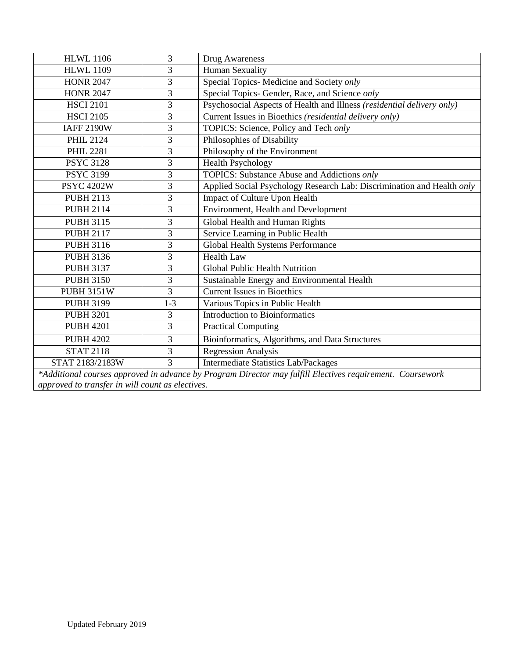| <b>HLWL 1106</b>                                                                                          | 3       | Drug Awareness                                                         |  |  |  |
|-----------------------------------------------------------------------------------------------------------|---------|------------------------------------------------------------------------|--|--|--|
| <b>HLWL 1109</b>                                                                                          | 3       | <b>Human Sexuality</b>                                                 |  |  |  |
| <b>HONR 2047</b>                                                                                          | 3       | Special Topics- Medicine and Society only                              |  |  |  |
| <b>HONR 2047</b>                                                                                          | 3       | Special Topics- Gender, Race, and Science only                         |  |  |  |
| <b>HSCI 2101</b>                                                                                          | 3       | Psychosocial Aspects of Health and Illness (residential delivery only) |  |  |  |
| <b>HSCI 2105</b>                                                                                          | 3       | Current Issues in Bioethics (residential delivery only)                |  |  |  |
| <b>IAFF 2190W</b>                                                                                         | 3       | TOPICS: Science, Policy and Tech only                                  |  |  |  |
| <b>PHIL 2124</b>                                                                                          | 3       | Philosophies of Disability                                             |  |  |  |
| <b>PHIL 2281</b>                                                                                          | 3       | Philosophy of the Environment                                          |  |  |  |
| <b>PSYC 3128</b>                                                                                          | 3       | <b>Health Psychology</b>                                               |  |  |  |
| <b>PSYC 3199</b>                                                                                          | 3       | TOPICS: Substance Abuse and Addictions only                            |  |  |  |
| <b>PSYC 4202W</b>                                                                                         | 3       | Applied Social Psychology Research Lab: Discrimination and Health only |  |  |  |
| <b>PUBH 2113</b>                                                                                          | 3       | Impact of Culture Upon Health                                          |  |  |  |
| <b>PUBH 2114</b>                                                                                          | 3       | Environment, Health and Development                                    |  |  |  |
| <b>PUBH 3115</b>                                                                                          | 3       | Global Health and Human Rights                                         |  |  |  |
| <b>PUBH 2117</b>                                                                                          | 3       | Service Learning in Public Health                                      |  |  |  |
| <b>PUBH 3116</b>                                                                                          | 3       | Global Health Systems Performance                                      |  |  |  |
| <b>PUBH 3136</b>                                                                                          | 3       | <b>Health Law</b>                                                      |  |  |  |
| <b>PUBH 3137</b>                                                                                          | 3       | Global Public Health Nutrition                                         |  |  |  |
| <b>PUBH 3150</b>                                                                                          | 3       | Sustainable Energy and Environmental Health                            |  |  |  |
| <b>PUBH 3151W</b>                                                                                         | 3       | <b>Current Issues in Bioethics</b>                                     |  |  |  |
| <b>PUBH 3199</b>                                                                                          | $1 - 3$ | Various Topics in Public Health                                        |  |  |  |
| <b>PUBH 3201</b>                                                                                          | 3       | <b>Introduction to Bioinformatics</b>                                  |  |  |  |
| <b>PUBH 4201</b>                                                                                          | 3       | <b>Practical Computing</b>                                             |  |  |  |
| <b>PUBH 4202</b>                                                                                          | 3       | Bioinformatics, Algorithms, and Data Structures                        |  |  |  |
| <b>STAT 2118</b>                                                                                          | 3       | <b>Regression Analysis</b>                                             |  |  |  |
| STAT 2183/2183W                                                                                           | 3       | <b>Intermediate Statistics Lab/Packages</b>                            |  |  |  |
| *Additional courses approved in advance by Program Director may fulfill Electives requirement. Coursework |         |                                                                        |  |  |  |

*approved to transfer in will count as electives.*